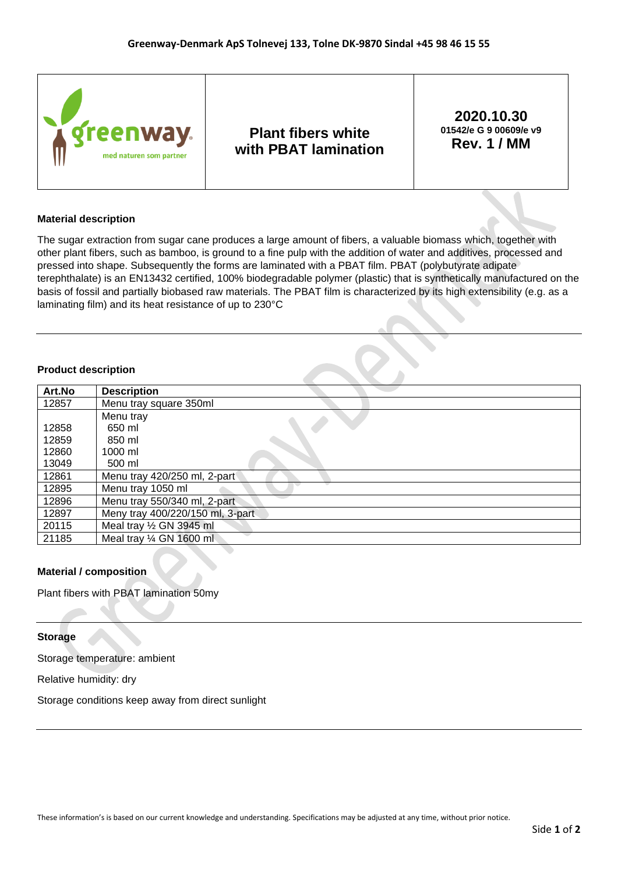

### **Material description**

The sugar extraction from sugar cane produces a large amount of fibers, a valuable biomass which, together with other plant fibers, such as bamboo, is ground to a fine pulp with the addition of water and additives, processed and pressed into shape. Subsequently the forms are laminated with a PBAT film. PBAT (polybutyrate adipate terephthalate) is an EN13432 certified, 100% biodegradable polymer (plastic) that is synthetically manufactured on the basis of fossil and partially biobased raw materials. The PBAT film is characterized by its high extensibility (e.g. as a laminating film) and its heat resistance of up to 230°C

### **Product description**

| Art.No | <b>Description</b>               |
|--------|----------------------------------|
| 12857  | Menu tray square 350ml           |
|        | Menu tray                        |
| 12858  | 650 ml                           |
| 12859  | 850 ml                           |
| 12860  | $1000$ ml                        |
| 13049  | 500 ml                           |
| 12861  | Menu tray 420/250 ml, 2-part     |
| 12895  | Menu tray 1050 ml                |
| 12896  | Menu tray 550/340 ml, 2-part     |
| 12897  | Meny tray 400/220/150 ml, 3-part |
| 20115  | Meal tray 1/2 GN 3945 ml         |
| 21185  | Meal tray 1/4 GN 1600 ml         |

# **Material / composition**

Plant fibers with PBAT lamination 50my

#### **Storage**

Storage temperature: ambient

Relative humidity: dry

Storage conditions keep away from direct sunlight